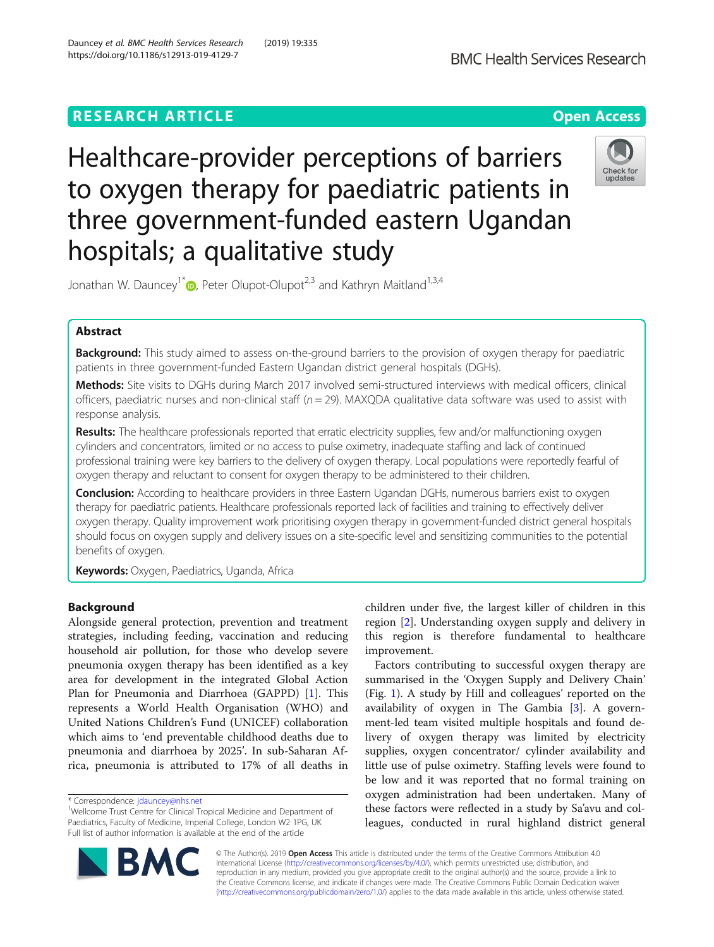# **RESEARCH ARTICLE Example 2018 12:30 THE Open Access**



Healthcare-provider perceptions of barriers to oxygen therapy for paediatric patients in three government-funded eastern Ugandan hospitals; a qualitative study



Jonathan W. Dauncey<sup>1\*</sup>  $\bullet$ [,](http://orcid.org/0000-0002-2918-8372) Peter Olupot-Olupot<sup>2,3</sup> and Kathryn Maitland<sup>1,3,4</sup>

# Abstract

Background: This study aimed to assess on-the-ground barriers to the provision of oxygen therapy for paediatric patients in three government-funded Eastern Ugandan district general hospitals (DGHs).

Methods: Site visits to DGHs during March 2017 involved semi-structured interviews with medical officers, clinical officers, paediatric nurses and non-clinical staff ( $n = 29$ ). MAXQDA qualitative data software was used to assist with response analysis.

Results: The healthcare professionals reported that erratic electricity supplies, few and/or malfunctioning oxygen cylinders and concentrators, limited or no access to pulse oximetry, inadequate staffing and lack of continued professional training were key barriers to the delivery of oxygen therapy. Local populations were reportedly fearful of oxygen therapy and reluctant to consent for oxygen therapy to be administered to their children.

**Conclusion:** According to healthcare providers in three Eastern Ugandan DGHs, numerous barriers exist to oxygen therapy for paediatric patients. Healthcare professionals reported lack of facilities and training to effectively deliver oxygen therapy. Quality improvement work prioritising oxygen therapy in government-funded district general hospitals should focus on oxygen supply and delivery issues on a site-specific level and sensitizing communities to the potential benefits of oxygen.

Keywords: Oxygen, Paediatrics, Uganda, Africa

# Background

Alongside general protection, prevention and treatment strategies, including feeding, vaccination and reducing household air pollution, for those who develop severe pneumonia oxygen therapy has been identified as a key area for development in the integrated Global Action Plan for Pneumonia and Diarrhoea (GAPPD) [[1\]](#page-7-0). This represents a World Health Organisation (WHO) and United Nations Children's Fund (UNICEF) collaboration which aims to 'end preventable childhood deaths due to pneumonia and diarrhoea by 2025'. In sub-Saharan Africa, pneumonia is attributed to 17% of all deaths in

children under five, the largest killer of children in this region [\[2](#page-7-0)]. Understanding oxygen supply and delivery in this region is therefore fundamental to healthcare improvement.

Factors contributing to successful oxygen therapy are summarised in the 'Oxygen Supply and Delivery Chain' (Fig. [1\)](#page-1-0). A study by Hill and colleagues' reported on the availability of oxygen in The Gambia [\[3](#page-7-0)]. A government-led team visited multiple hospitals and found delivery of oxygen therapy was limited by electricity supplies, oxygen concentrator/ cylinder availability and little use of pulse oximetry. Staffing levels were found to be low and it was reported that no formal training on oxygen administration had been undertaken. Many of these factors were reflected in a study by Sa'avu and colleagues, conducted in rural highland district general



© The Author(s). 2019 Open Access This article is distributed under the terms of the Creative Commons Attribution 4.0 International License [\(http://creativecommons.org/licenses/by/4.0/](http://creativecommons.org/licenses/by/4.0/)), which permits unrestricted use, distribution, and reproduction in any medium, provided you give appropriate credit to the original author(s) and the source, provide a link to the Creative Commons license, and indicate if changes were made. The Creative Commons Public Domain Dedication waiver [\(http://creativecommons.org/publicdomain/zero/1.0/](http://creativecommons.org/publicdomain/zero/1.0/)) applies to the data made available in this article, unless otherwise stated.

<sup>\*</sup> Correspondence: [jdauncey@nhs.net](mailto:jdauncey@nhs.net) <sup>1</sup>

<sup>&</sup>lt;sup>1</sup>Wellcome Trust Centre for Clinical Tropical Medicine and Department of Paediatrics, Faculty of Medicine, Imperial College, London W2 1PG, UK Full list of author information is available at the end of the article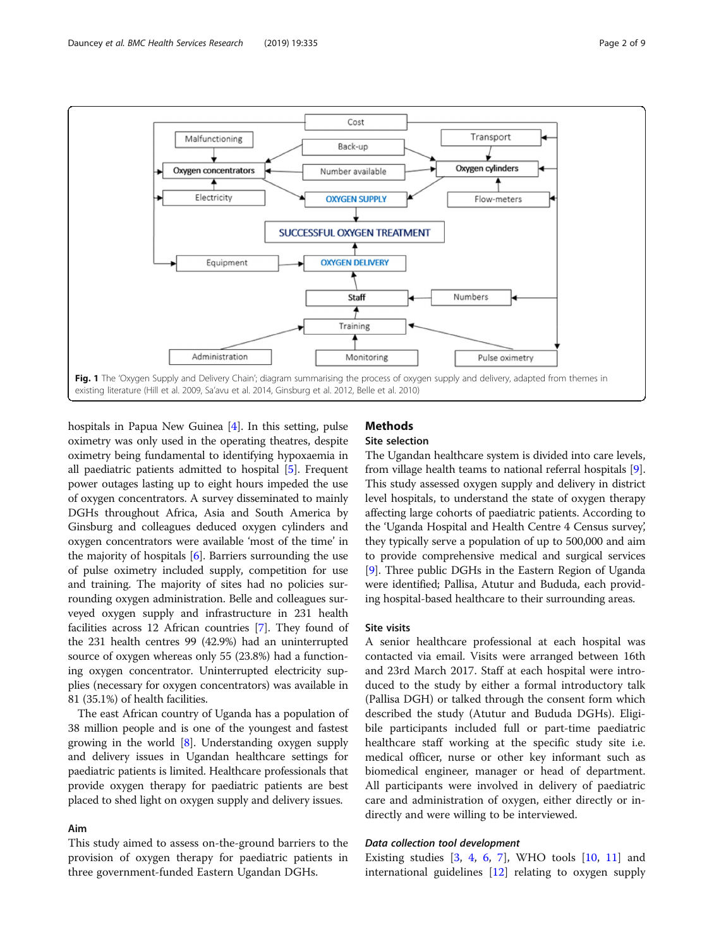<span id="page-1-0"></span>

hospitals in Papua New Guinea [\[4\]](#page-7-0). In this setting, pulse oximetry was only used in the operating theatres, despite oximetry being fundamental to identifying hypoxaemia in all paediatric patients admitted to hospital [\[5](#page-7-0)]. Frequent power outages lasting up to eight hours impeded the use of oxygen concentrators. A survey disseminated to mainly DGHs throughout Africa, Asia and South America by Ginsburg and colleagues deduced oxygen cylinders and oxygen concentrators were available 'most of the time' in the majority of hospitals [\[6](#page-7-0)]. Barriers surrounding the use of pulse oximetry included supply, competition for use and training. The majority of sites had no policies surrounding oxygen administration. Belle and colleagues surveyed oxygen supply and infrastructure in 231 health facilities across 12 African countries [[7](#page-7-0)]. They found of the 231 health centres 99 (42.9%) had an uninterrupted source of oxygen whereas only 55 (23.8%) had a functioning oxygen concentrator. Uninterrupted electricity supplies (necessary for oxygen concentrators) was available in 81 (35.1%) of health facilities.

The east African country of Uganda has a population of 38 million people and is one of the youngest and fastest growing in the world  $[8]$  $[8]$ . Understanding oxygen supply and delivery issues in Ugandan healthcare settings for paediatric patients is limited. Healthcare professionals that provide oxygen therapy for paediatric patients are best placed to shed light on oxygen supply and delivery issues.

## Aim

This study aimed to assess on-the-ground barriers to the provision of oxygen therapy for paediatric patients in three government-funded Eastern Ugandan DGHs.

# **Methods**

# Site selection

The Ugandan healthcare system is divided into care levels, from village health teams to national referral hospitals [[9](#page-7-0)]. This study assessed oxygen supply and delivery in district level hospitals, to understand the state of oxygen therapy affecting large cohorts of paediatric patients. According to the 'Uganda Hospital and Health Centre 4 Census survey', they typically serve a population of up to 500,000 and aim to provide comprehensive medical and surgical services [[9\]](#page-7-0). Three public DGHs in the Eastern Region of Uganda were identified; Pallisa, Atutur and Bududa, each providing hospital-based healthcare to their surrounding areas.

#### Site visits

A senior healthcare professional at each hospital was contacted via email. Visits were arranged between 16th and 23rd March 2017. Staff at each hospital were introduced to the study by either a formal introductory talk (Pallisa DGH) or talked through the consent form which described the study (Atutur and Bududa DGHs). Eligibile participants included full or part-time paediatric healthcare staff working at the specific study site i.e. medical officer, nurse or other key informant such as biomedical engineer, manager or head of department. All participants were involved in delivery of paediatric care and administration of oxygen, either directly or indirectly and were willing to be interviewed.

#### Data collection tool development

Existing studies  $[3, 4, 6, 7]$  $[3, 4, 6, 7]$  $[3, 4, 6, 7]$  $[3, 4, 6, 7]$  $[3, 4, 6, 7]$  $[3, 4, 6, 7]$  $[3, 4, 6, 7]$  $[3, 4, 6, 7]$ , WHO tools  $[10, 11]$  $[10, 11]$  $[10, 11]$  $[10, 11]$  and international guidelines [\[12\]](#page-8-0) relating to oxygen supply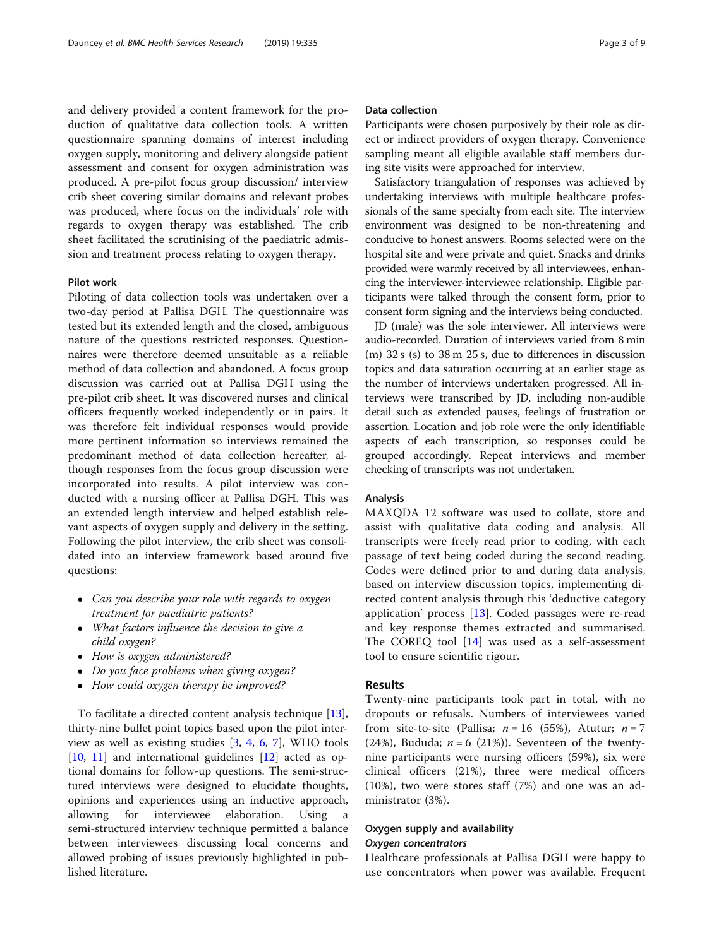and delivery provided a content framework for the production of qualitative data collection tools. A written questionnaire spanning domains of interest including oxygen supply, monitoring and delivery alongside patient assessment and consent for oxygen administration was produced. A pre-pilot focus group discussion/ interview crib sheet covering similar domains and relevant probes was produced, where focus on the individuals' role with regards to oxygen therapy was established. The crib sheet facilitated the scrutinising of the paediatric admission and treatment process relating to oxygen therapy.

#### Pilot work

Piloting of data collection tools was undertaken over a two-day period at Pallisa DGH. The questionnaire was tested but its extended length and the closed, ambiguous nature of the questions restricted responses. Questionnaires were therefore deemed unsuitable as a reliable method of data collection and abandoned. A focus group discussion was carried out at Pallisa DGH using the pre-pilot crib sheet. It was discovered nurses and clinical officers frequently worked independently or in pairs. It was therefore felt individual responses would provide more pertinent information so interviews remained the predominant method of data collection hereafter, although responses from the focus group discussion were incorporated into results. A pilot interview was conducted with a nursing officer at Pallisa DGH. This was an extended length interview and helped establish relevant aspects of oxygen supply and delivery in the setting. Following the pilot interview, the crib sheet was consolidated into an interview framework based around five questions:

- Can you describe your role with regards to oxygen treatment for paediatric patients?
- What factors influence the decision to give a child oxygen?
- How is oxygen administered?
- Do you face problems when giving oxygen?
- How could oxygen therapy be improved?

To facilitate a directed content analysis technique [\[13](#page-8-0)], thirty-nine bullet point topics based upon the pilot interview as well as existing studies [\[3](#page-7-0), [4](#page-7-0), [6](#page-7-0), [7](#page-7-0)], WHO tools [[10,](#page-7-0) [11](#page-8-0)] and international guidelines [[12](#page-8-0)] acted as optional domains for follow-up questions. The semi-structured interviews were designed to elucidate thoughts, opinions and experiences using an inductive approach, allowing for interviewee elaboration. Using a semi-structured interview technique permitted a balance between interviewees discussing local concerns and allowed probing of issues previously highlighted in published literature.

## Data collection

Participants were chosen purposively by their role as direct or indirect providers of oxygen therapy. Convenience sampling meant all eligible available staff members during site visits were approached for interview.

Satisfactory triangulation of responses was achieved by undertaking interviews with multiple healthcare professionals of the same specialty from each site. The interview environment was designed to be non-threatening and conducive to honest answers. Rooms selected were on the hospital site and were private and quiet. Snacks and drinks provided were warmly received by all interviewees, enhancing the interviewer-interviewee relationship. Eligible participants were talked through the consent form, prior to consent form signing and the interviews being conducted.

JD (male) was the sole interviewer. All interviews were audio-recorded. Duration of interviews varied from 8 min (m) 32 s (s) to 38 m 25 s, due to differences in discussion topics and data saturation occurring at an earlier stage as the number of interviews undertaken progressed. All interviews were transcribed by JD, including non-audible detail such as extended pauses, feelings of frustration or assertion. Location and job role were the only identifiable aspects of each transcription, so responses could be grouped accordingly. Repeat interviews and member checking of transcripts was not undertaken.

## Analysis

MAXQDA 12 software was used to collate, store and assist with qualitative data coding and analysis. All transcripts were freely read prior to coding, with each passage of text being coded during the second reading. Codes were defined prior to and during data analysis, based on interview discussion topics, implementing directed content analysis through this 'deductive category application' process [[13](#page-8-0)]. Coded passages were re-read and key response themes extracted and summarised. The COREQ tool [\[14\]](#page-8-0) was used as a self-assessment tool to ensure scientific rigour.

## Results

Twenty-nine participants took part in total, with no dropouts or refusals. Numbers of interviewees varied from site-to-site (Pallisa;  $n = 16$  (55%), Atutur;  $n = 7$ (24%), Bududa;  $n = 6$  (21%)). Seventeen of the twentynine participants were nursing officers (59%), six were clinical officers (21%), three were medical officers (10%), two were stores staff (7%) and one was an administrator (3%).

## Oxygen supply and availability Oxygen concentrators

Healthcare professionals at Pallisa DGH were happy to use concentrators when power was available. Frequent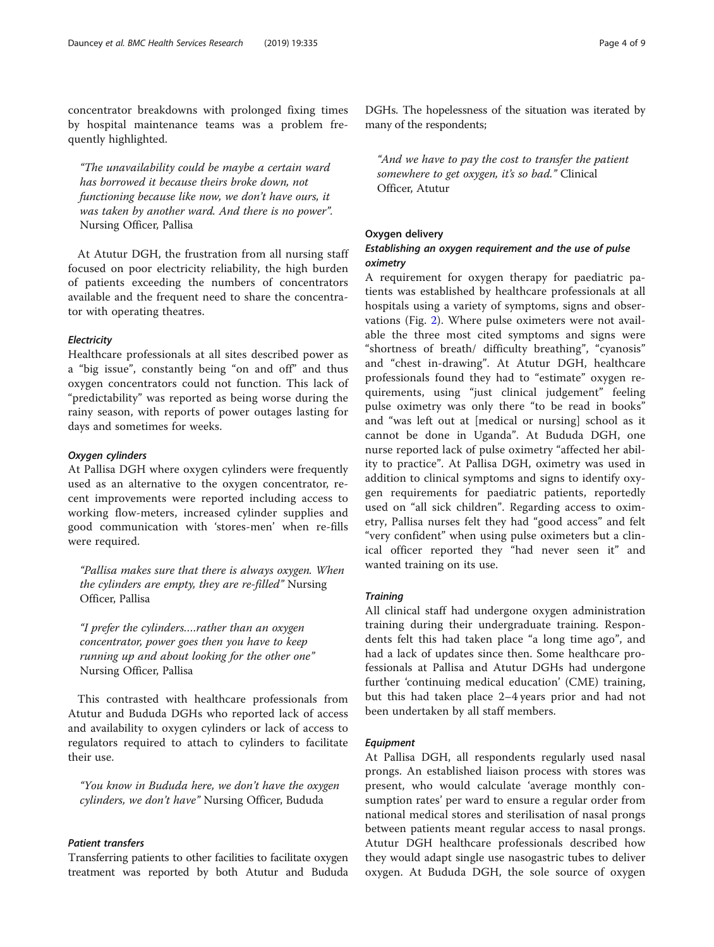concentrator breakdowns with prolonged fixing times by hospital maintenance teams was a problem frequently highlighted.

"The unavailability could be maybe a certain ward has borrowed it because theirs broke down, not functioning because like now, we don't have ours, it was taken by another ward. And there is no power". Nursing Officer, Pallisa

At Atutur DGH, the frustration from all nursing staff focused on poor electricity reliability, the high burden of patients exceeding the numbers of concentrators available and the frequent need to share the concentrator with operating theatres.

### **Electricity**

Healthcare professionals at all sites described power as a "big issue", constantly being "on and off" and thus oxygen concentrators could not function. This lack of "predictability" was reported as being worse during the rainy season, with reports of power outages lasting for days and sometimes for weeks.

#### Oxygen cylinders

At Pallisa DGH where oxygen cylinders were frequently used as an alternative to the oxygen concentrator, recent improvements were reported including access to working flow-meters, increased cylinder supplies and good communication with 'stores-men' when re-fills were required.

"Pallisa makes sure that there is always oxygen. When the cylinders are empty, they are re-filled" Nursing Officer, Pallisa

"I prefer the cylinders….rather than an oxygen concentrator, power goes then you have to keep running up and about looking for the other one" Nursing Officer, Pallisa

This contrasted with healthcare professionals from Atutur and Bududa DGHs who reported lack of access and availability to oxygen cylinders or lack of access to regulators required to attach to cylinders to facilitate their use.

"You know in Bududa here, we don't have the oxygen cylinders, we don't have" Nursing Officer, Bududa

## Patient transfers

Transferring patients to other facilities to facilitate oxygen treatment was reported by both Atutur and Bududa DGHs. The hopelessness of the situation was iterated by many of the respondents;

"And we have to pay the cost to transfer the patient somewhere to get oxygen, it's so bad." Clinical Officer, Atutur

# Oxygen delivery

## Establishing an oxygen requirement and the use of pulse oximetry

A requirement for oxygen therapy for paediatric patients was established by healthcare professionals at all hospitals using a variety of symptoms, signs and observations (Fig. [2\)](#page-4-0). Where pulse oximeters were not available the three most cited symptoms and signs were "shortness of breath/ difficulty breathing", "cyanosis" and "chest in-drawing". At Atutur DGH, healthcare professionals found they had to "estimate" oxygen requirements, using "just clinical judgement" feeling pulse oximetry was only there "to be read in books" and "was left out at [medical or nursing] school as it cannot be done in Uganda". At Bududa DGH, one nurse reported lack of pulse oximetry "affected her ability to practice". At Pallisa DGH, oximetry was used in addition to clinical symptoms and signs to identify oxygen requirements for paediatric patients, reportedly used on "all sick children". Regarding access to oximetry, Pallisa nurses felt they had "good access" and felt "very confident" when using pulse oximeters but a clinical officer reported they "had never seen it" and wanted training on its use.

#### **Training**

All clinical staff had undergone oxygen administration training during their undergraduate training. Respondents felt this had taken place "a long time ago", and had a lack of updates since then. Some healthcare professionals at Pallisa and Atutur DGHs had undergone further 'continuing medical education' (CME) training, but this had taken place 2–4 years prior and had not been undertaken by all staff members.

#### Equipment

At Pallisa DGH, all respondents regularly used nasal prongs. An established liaison process with stores was present, who would calculate 'average monthly consumption rates' per ward to ensure a regular order from national medical stores and sterilisation of nasal prongs between patients meant regular access to nasal prongs. Atutur DGH healthcare professionals described how they would adapt single use nasogastric tubes to deliver oxygen. At Bududa DGH, the sole source of oxygen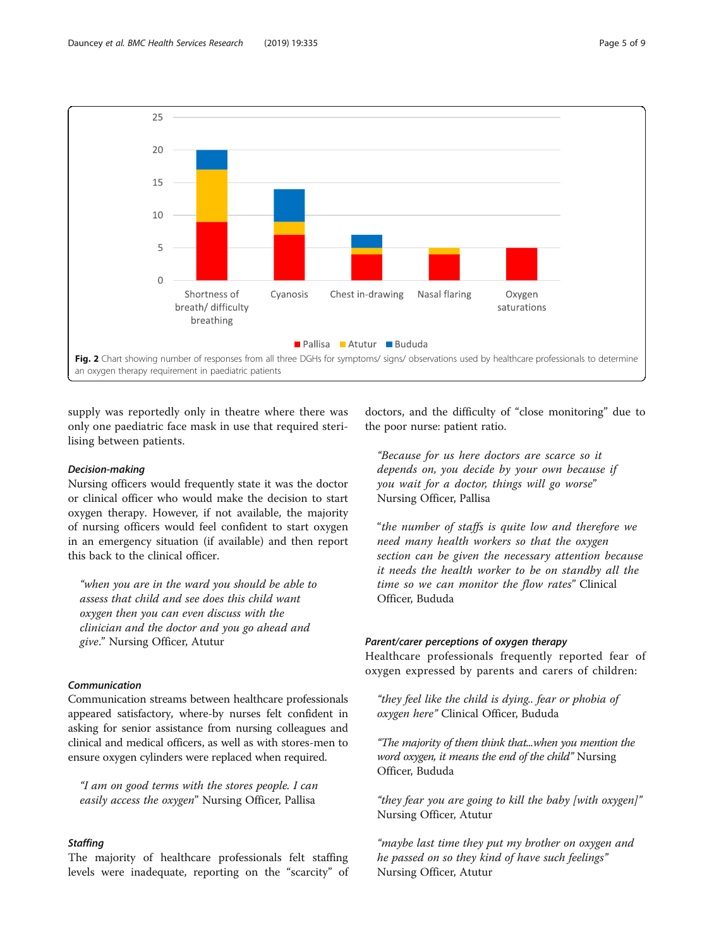<span id="page-4-0"></span>

supply was reportedly only in theatre where there was only one paediatric face mask in use that required sterilising between patients.

#### Decision-making

Nursing officers would frequently state it was the doctor or clinical officer who would make the decision to start oxygen therapy. However, if not available, the majority of nursing officers would feel confident to start oxygen in an emergency situation (if available) and then report this back to the clinical officer.

"when you are in the ward you should be able to assess that child and see does this child want oxygen then you can even discuss with the clinician and the doctor and you go ahead and give." Nursing Officer, Atutur

## Communication

Communication streams between healthcare professionals appeared satisfactory, where-by nurses felt confident in asking for senior assistance from nursing colleagues and clinical and medical officers, as well as with stores-men to ensure oxygen cylinders were replaced when required.

"I am on good terms with the stores people. I can easily access the oxygen" Nursing Officer, Pallisa

# **Staffing**

The majority of healthcare professionals felt staffing levels were inadequate, reporting on the "scarcity" of doctors, and the difficulty of "close monitoring" due to the poor nurse: patient ratio.

"Because for us here doctors are scarce so it depends on, you decide by your own because if you wait for a doctor, things will go worse" Nursing Officer, Pallisa

"the number of staffs is quite low and therefore we need many health workers so that the oxygen section can be given the necessary attention because it needs the health worker to be on standby all the time so we can monitor the flow rates" Clinical Officer, Bududa

## Parent/carer perceptions of oxygen therapy

Healthcare professionals frequently reported fear of oxygen expressed by parents and carers of children:

"they feel like the child is dying.. fear or phobia of oxygen here" Clinical Officer, Bududa

"The majority of them think that...when you mention the word oxygen, it means the end of the child" Nursing Officer, Bududa

"they fear you are going to kill the baby [with oxygen]" Nursing Officer, Atutur

"maybe last time they put my brother on oxygen and he passed on so they kind of have such feelings" Nursing Officer, Atutur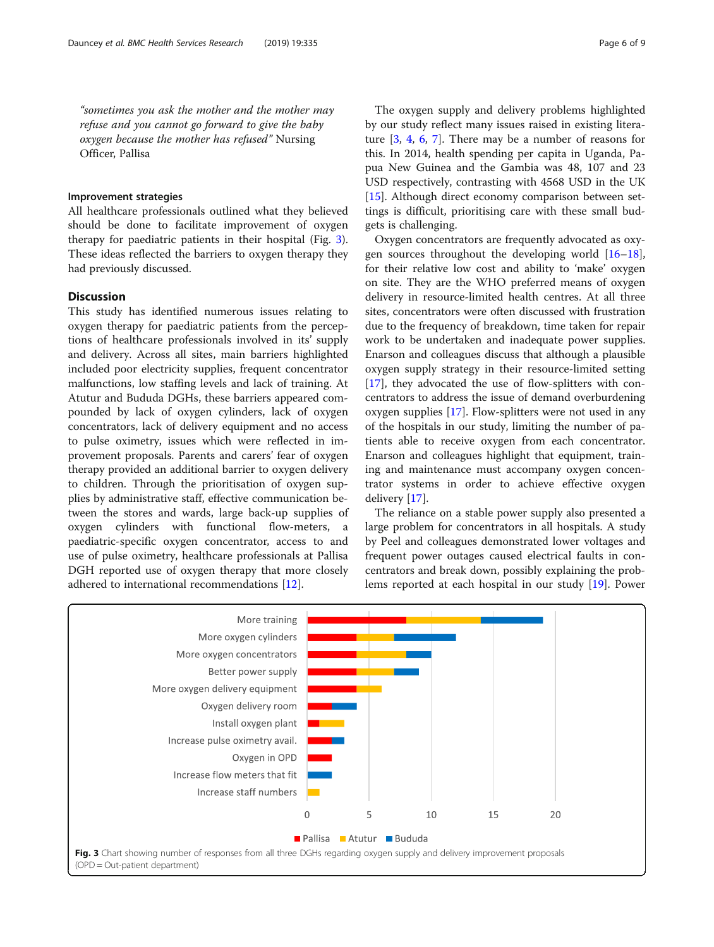"sometimes you ask the mother and the mother may refuse and you cannot go forward to give the baby oxygen because the mother has refused" Nursing Officer, Pallisa

#### Improvement strategies

All healthcare professionals outlined what they believed should be done to facilitate improvement of oxygen therapy for paediatric patients in their hospital (Fig. 3). These ideas reflected the barriers to oxygen therapy they had previously discussed.

## **Discussion**

This study has identified numerous issues relating to oxygen therapy for paediatric patients from the perceptions of healthcare professionals involved in its' supply and delivery. Across all sites, main barriers highlighted included poor electricity supplies, frequent concentrator malfunctions, low staffing levels and lack of training. At Atutur and Bududa DGHs, these barriers appeared compounded by lack of oxygen cylinders, lack of oxygen concentrators, lack of delivery equipment and no access to pulse oximetry, issues which were reflected in improvement proposals. Parents and carers' fear of oxygen therapy provided an additional barrier to oxygen delivery to children. Through the prioritisation of oxygen supplies by administrative staff, effective communication between the stores and wards, large back-up supplies of oxygen cylinders with functional flow-meters, a paediatric-specific oxygen concentrator, access to and use of pulse oximetry, healthcare professionals at Pallisa DGH reported use of oxygen therapy that more closely adhered to international recommendations [\[12](#page-8-0)].

The oxygen supply and delivery problems highlighted by our study reflect many issues raised in existing literature  $[3, 4, 6, 7]$  $[3, 4, 6, 7]$  $[3, 4, 6, 7]$  $[3, 4, 6, 7]$  $[3, 4, 6, 7]$  $[3, 4, 6, 7]$  $[3, 4, 6, 7]$ . There may be a number of reasons for this. In 2014, health spending per capita in Uganda, Papua New Guinea and the Gambia was 48, 107 and 23 USD respectively, contrasting with 4568 USD in the UK [[15\]](#page-8-0). Although direct economy comparison between settings is difficult, prioritising care with these small budgets is challenging.

Oxygen concentrators are frequently advocated as oxygen sources throughout the developing world  $[16–18]$  $[16–18]$  $[16–18]$  $[16–18]$  $[16–18]$ , for their relative low cost and ability to 'make' oxygen on site. They are the WHO preferred means of oxygen delivery in resource-limited health centres. At all three sites, concentrators were often discussed with frustration due to the frequency of breakdown, time taken for repair work to be undertaken and inadequate power supplies. Enarson and colleagues discuss that although a plausible oxygen supply strategy in their resource-limited setting [[17\]](#page-8-0), they advocated the use of flow-splitters with concentrators to address the issue of demand overburdening oxygen supplies [[17](#page-8-0)]. Flow-splitters were not used in any of the hospitals in our study, limiting the number of patients able to receive oxygen from each concentrator. Enarson and colleagues highlight that equipment, training and maintenance must accompany oxygen concentrator systems in order to achieve effective oxygen delivery [[17](#page-8-0)].

The reliance on a stable power supply also presented a large problem for concentrators in all hospitals. A study by Peel and colleagues demonstrated lower voltages and frequent power outages caused electrical faults in concentrators and break down, possibly explaining the problems reported at each hospital in our study [\[19\]](#page-8-0). Power

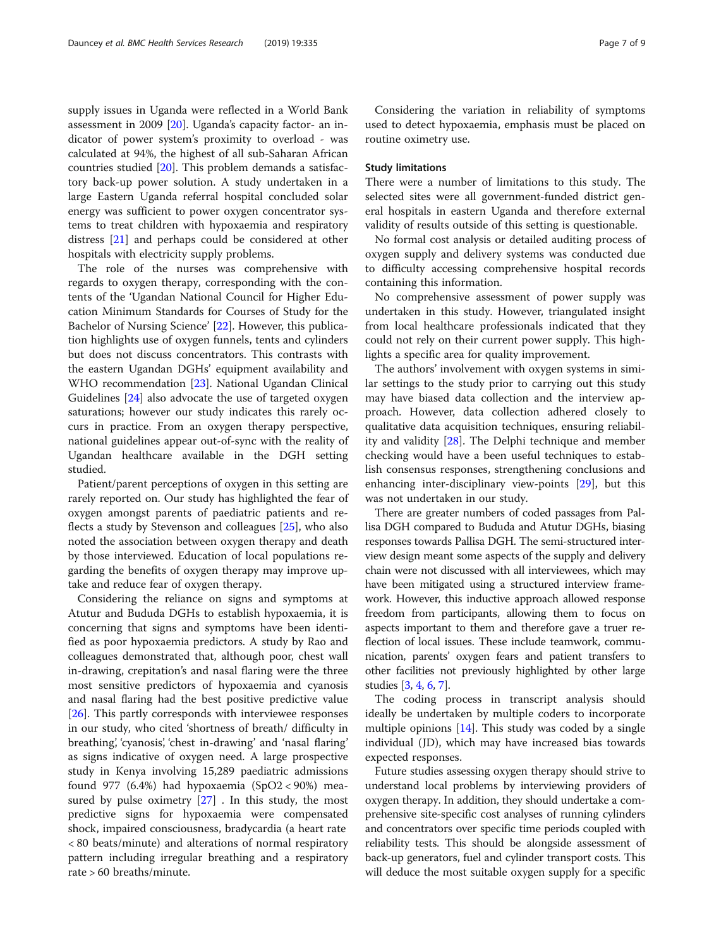supply issues in Uganda were reflected in a World Bank assessment in 2009 [\[20](#page-8-0)]. Uganda's capacity factor- an indicator of power system's proximity to overload - was calculated at 94%, the highest of all sub-Saharan African countries studied [[20](#page-8-0)]. This problem demands a satisfactory back-up power solution. A study undertaken in a large Eastern Uganda referral hospital concluded solar energy was sufficient to power oxygen concentrator systems to treat children with hypoxaemia and respiratory distress [[21](#page-8-0)] and perhaps could be considered at other hospitals with electricity supply problems.

The role of the nurses was comprehensive with regards to oxygen therapy, corresponding with the contents of the 'Ugandan National Council for Higher Education Minimum Standards for Courses of Study for the Bachelor of Nursing Science' [[22\]](#page-8-0). However, this publication highlights use of oxygen funnels, tents and cylinders but does not discuss concentrators. This contrasts with the eastern Ugandan DGHs' equipment availability and WHO recommendation [[23\]](#page-8-0). National Ugandan Clinical Guidelines [[24](#page-8-0)] also advocate the use of targeted oxygen saturations; however our study indicates this rarely occurs in practice. From an oxygen therapy perspective, national guidelines appear out-of-sync with the reality of Ugandan healthcare available in the DGH setting studied.

Patient/parent perceptions of oxygen in this setting are rarely reported on. Our study has highlighted the fear of oxygen amongst parents of paediatric patients and reflects a study by Stevenson and colleagues [\[25](#page-8-0)], who also noted the association between oxygen therapy and death by those interviewed. Education of local populations regarding the benefits of oxygen therapy may improve uptake and reduce fear of oxygen therapy.

Considering the reliance on signs and symptoms at Atutur and Bududa DGHs to establish hypoxaemia, it is concerning that signs and symptoms have been identified as poor hypoxaemia predictors. A study by Rao and colleagues demonstrated that, although poor, chest wall in-drawing, crepitation's and nasal flaring were the three most sensitive predictors of hypoxaemia and cyanosis and nasal flaring had the best positive predictive value [[26\]](#page-8-0). This partly corresponds with interviewee responses in our study, who cited 'shortness of breath/ difficulty in breathing', 'cyanosis', 'chest in-drawing' and 'nasal flaring' as signs indicative of oxygen need. A large prospective study in Kenya involving 15,289 paediatric admissions found 977 (6.4%) had hypoxaemia  $(SpO2 < 90%)$  measured by pulse oximetry  $[27]$  $[27]$ . In this study, the most predictive signs for hypoxaemia were compensated shock, impaired consciousness, bradycardia (a heart rate < 80 beats/minute) and alterations of normal respiratory pattern including irregular breathing and a respiratory rate > 60 breaths/minute.

Considering the variation in reliability of symptoms used to detect hypoxaemia, emphasis must be placed on routine oximetry use.

## Study limitations

There were a number of limitations to this study. The selected sites were all government-funded district general hospitals in eastern Uganda and therefore external validity of results outside of this setting is questionable.

No formal cost analysis or detailed auditing process of oxygen supply and delivery systems was conducted due to difficulty accessing comprehensive hospital records containing this information.

No comprehensive assessment of power supply was undertaken in this study. However, triangulated insight from local healthcare professionals indicated that they could not rely on their current power supply. This highlights a specific area for quality improvement.

The authors' involvement with oxygen systems in similar settings to the study prior to carrying out this study may have biased data collection and the interview approach. However, data collection adhered closely to qualitative data acquisition techniques, ensuring reliability and validity [\[28\]](#page-8-0). The Delphi technique and member checking would have a been useful techniques to establish consensus responses, strengthening conclusions and enhancing inter-disciplinary view-points [[29](#page-8-0)], but this was not undertaken in our study.

There are greater numbers of coded passages from Pallisa DGH compared to Bududa and Atutur DGHs, biasing responses towards Pallisa DGH. The semi-structured interview design meant some aspects of the supply and delivery chain were not discussed with all interviewees, which may have been mitigated using a structured interview framework. However, this inductive approach allowed response freedom from participants, allowing them to focus on aspects important to them and therefore gave a truer reflection of local issues. These include teamwork, communication, parents' oxygen fears and patient transfers to other facilities not previously highlighted by other large studies [[3](#page-7-0), [4,](#page-7-0) [6](#page-7-0), [7\]](#page-7-0).

The coding process in transcript analysis should ideally be undertaken by multiple coders to incorporate multiple opinions  $[14]$  $[14]$  $[14]$ . This study was coded by a single individual (JD), which may have increased bias towards expected responses.

Future studies assessing oxygen therapy should strive to understand local problems by interviewing providers of oxygen therapy. In addition, they should undertake a comprehensive site-specific cost analyses of running cylinders and concentrators over specific time periods coupled with reliability tests. This should be alongside assessment of back-up generators, fuel and cylinder transport costs. This will deduce the most suitable oxygen supply for a specific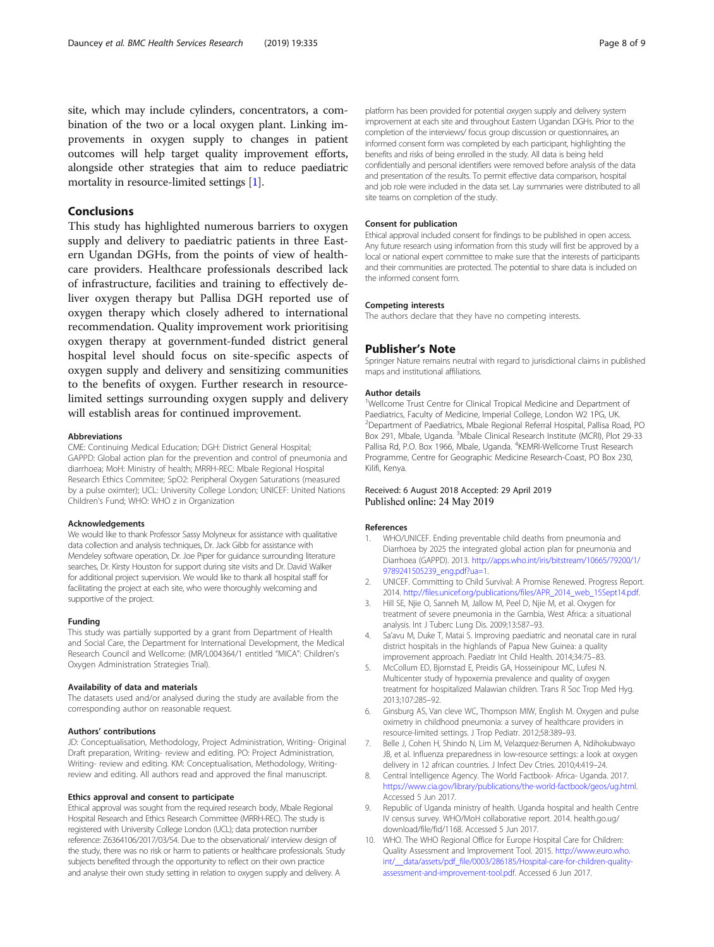<span id="page-7-0"></span>site, which may include cylinders, concentrators, a combination of the two or a local oxygen plant. Linking improvements in oxygen supply to changes in patient outcomes will help target quality improvement efforts, alongside other strategies that aim to reduce paediatric mortality in resource-limited settings [1].

## Conclusions

This study has highlighted numerous barriers to oxygen supply and delivery to paediatric patients in three Eastern Ugandan DGHs, from the points of view of healthcare providers. Healthcare professionals described lack of infrastructure, facilities and training to effectively deliver oxygen therapy but Pallisa DGH reported use of oxygen therapy which closely adhered to international recommendation. Quality improvement work prioritising oxygen therapy at government-funded district general hospital level should focus on site-specific aspects of oxygen supply and delivery and sensitizing communities to the benefits of oxygen. Further research in resourcelimited settings surrounding oxygen supply and delivery will establish areas for continued improvement.

#### Abbreviations

CME: Continuing Medical Education; DGH: District General Hospital; GAPPD: Global action plan for the prevention and control of pneumonia and diarrhoea; MoH: Ministry of health; MRRH-REC: Mbale Regional Hospital Research Ethics Commitee; SpO2: Peripheral Oxygen Saturations (measured by a pulse oximter); UCL: University College London; UNICEF: United Nations Children's Fund; WHO: WHO z in Organization

#### Acknowledgements

We would like to thank Professor Sassy Molyneux for assistance with qualitative data collection and analysis techniques, Dr. Jack Gibb for assistance with Mendeley software operation, Dr. Joe Piper for guidance surrounding literature searches, Dr. Kirsty Houston for support during site visits and Dr. David Walker for additional project supervision. We would like to thank all hospital staff for facilitating the project at each site, who were thoroughly welcoming and supportive of the project.

#### Funding

This study was partially supported by a grant from Department of Health and Social Care, the Department for International Development, the Medical Research Council and Wellcome: (MR/L004364/1 entitled "MICA": Children's Oxygen Administration Strategies Trial).

#### Availability of data and materials

The datasets used and/or analysed during the study are available from the corresponding author on reasonable request.

#### Authors' contributions

JD: Conceptualisation, Methodology, Project Administration, Writing- Original Draft preparation, Writing- review and editing. PO: Project Administration, Writing- review and editing. KM: Conceptualisation, Methodology, Writingreview and editing. All authors read and approved the final manuscript.

#### Ethics approval and consent to participate

Ethical approval was sought from the required research body, Mbale Regional Hospital Research and Ethics Research Committee (MRRH-REC). The study is registered with University College London (UCL); data protection number reference: Z6364106/2017/03/54. Due to the observational/ interview design of the study, there was no risk or harm to patients or healthcare professionals. Study subjects benefited through the opportunity to reflect on their own practice and analyse their own study setting in relation to oxygen supply and delivery. A

platform has been provided for potential oxygen supply and delivery system improvement at each site and throughout Eastern Ugandan DGHs. Prior to the completion of the interviews/ focus group discussion or questionnaires, an informed consent form was completed by each participant, highlighting the benefits and risks of being enrolled in the study. All data is being held confidentially and personal identifiers were removed before analysis of the data and presentation of the results. To permit effective data comparison, hospital and job role were included in the data set. Lay summaries were distributed to all site teams on completion of the study.

#### Consent for publication

Ethical approval included consent for findings to be published in open access. Any future research using information from this study will first be approved by a local or national expert committee to make sure that the interests of participants and their communities are protected. The potential to share data is included on the informed consent form.

#### Competing interests

The authors declare that they have no competing interests.

#### Publisher's Note

Springer Nature remains neutral with regard to jurisdictional claims in published maps and institutional affiliations.

#### Author details

<sup>1</sup>Wellcome Trust Centre for Clinical Tropical Medicine and Department of Paediatrics, Faculty of Medicine, Imperial College, London W2 1PG, UK. 2 Department of Paediatrics, Mbale Regional Referral Hospital, Pallisa Road, PO Box 291, Mbale, Uganda. <sup>3</sup>Mbale Clinical Research Institute (MCRI), Plot 29-33 Pallisa Rd, P.O. Box 1966, Mbale, Uganda. <sup>4</sup>KEMRI-Wellcome Trust Research Programme, Centre for Geographic Medicine Research-Coast, PO Box 230, Kilifi, Kenya.

### Received: 6 August 2018 Accepted: 29 April 2019 Published online: 24 May 2019

#### References

- 1. WHO/UNICEF. Ending preventable child deaths from pneumonia and Diarrhoea by 2025 the integrated global action plan for pneumonia and Diarrhoea (GAPPD). 2013. [http://apps.who.int/iris/bitstream/10665/79200/1/](http://apps.who.int/iris/bitstream/10665/79200/1/9789241505239_eng.pdf?ua=1) [9789241505239\\_eng.pdf?ua=1.](http://apps.who.int/iris/bitstream/10665/79200/1/9789241505239_eng.pdf?ua=1)
- 2. UNICEF. Committing to Child Survival: A Promise Renewed. Progress Report. 2014. [http://files.unicef.org/publications/files/APR\\_2014\\_web\\_15Sept14.pdf.](http://files.unicef.org/publications/files/APR_2014_web_15Sept14.pdf)
- 3. Hill SE, Njie O, Sanneh M, Jallow M, Peel D, Njie M, et al. Oxygen for treatment of severe pneumonia in the Gambia, West Africa: a situational analysis. Int J Tuberc Lung Dis. 2009;13:587–93.
- 4. Sa'avu M, Duke T, Matai S. Improving paediatric and neonatal care in rural district hospitals in the highlands of Papua New Guinea: a quality improvement approach. Paediatr Int Child Health. 2014;34:75–83.
- 5. McCollum ED, Bjornstad E, Preidis GA, Hosseinipour MC, Lufesi N. Multicenter study of hypoxemia prevalence and quality of oxygen treatment for hospitalized Malawian children. Trans R Soc Trop Med Hyg. 2013;107:285–92.
- 6. Ginsburg AS, Van cleve WC, Thompson MIW, English M. Oxygen and pulse oximetry in childhood pneumonia: a survey of healthcare providers in resource-limited settings. J Trop Pediatr. 2012;58:389–93.
- 7. Belle J, Cohen H, Shindo N, Lim M, Velazquez-Berumen A, Ndihokubwayo JB, et al. Influenza preparedness in low-resource settings: a look at oxygen delivery in 12 african countries. J Infect Dev Ctries. 2010;4:419–24.
- 8. Central Intelligence Agency. The World Factbook- Africa- Uganda. 2017. [https://www.cia.gov/library/publications/the-world-factbook/geos/ug.html.](https://www.cia.gov/library/publications/the-world-factbook/geos/ug.html) Accessed 5 Jun 2017.
- 9. Republic of Uganda ministry of health. Uganda hospital and health Centre IV census survey. WHO/MoH collaborative report. 2014. health.go.ug/ download/file/fid/1168. Accessed 5 Jun 2017.
- 10. WHO. The WHO Regional Office for Europe Hospital Care for Children: Quality Assessment and Improvement Tool. 2015. [http://www.euro.who.](http://www.euro.who.int/__data/assets/pdf_file/0003/286185/Hospital-care-for-children-quality-assessment-and-improvement-tool.pdf) [int/\\_\\_data/assets/pdf\\_file/0003/286185/Hospital-care-for-children-quality](http://www.euro.who.int/__data/assets/pdf_file/0003/286185/Hospital-care-for-children-quality-assessment-and-improvement-tool.pdf)[assessment-and-improvement-tool.pdf.](http://www.euro.who.int/__data/assets/pdf_file/0003/286185/Hospital-care-for-children-quality-assessment-and-improvement-tool.pdf) Accessed 6 Jun 2017.